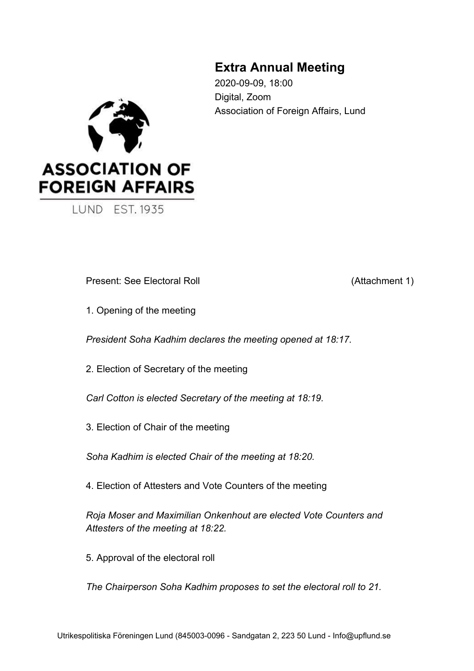# **Extra Annual Meeting**

2020-09-09, 18:00 Digital, Zoom Association of Foreign Affairs, Lund



**LUND EST. 1935** 

Present: See Electoral Roll (Attachment 1)

1. Opening of the meeting

*President Soha Kadhim declares the meeting opened at 18:17.*

2. Election of Secretary of the meeting

*Carl Cotton is elected Secretary of the meeting at 18:19.*

3. Election of Chair of the meeting

*Soha Kadhim is elected Chair of the meeting at 18:20.*

4. Election of Attesters and Vote Counters of the meeting

*Roja Moser and Maximilian Onkenhout are elected Vote Counters and Attesters of the meeting at 18:22.*

5. Approval of the electoral roll

*The Chairperson Soha Kadhim proposes to set the electoral roll to 21.*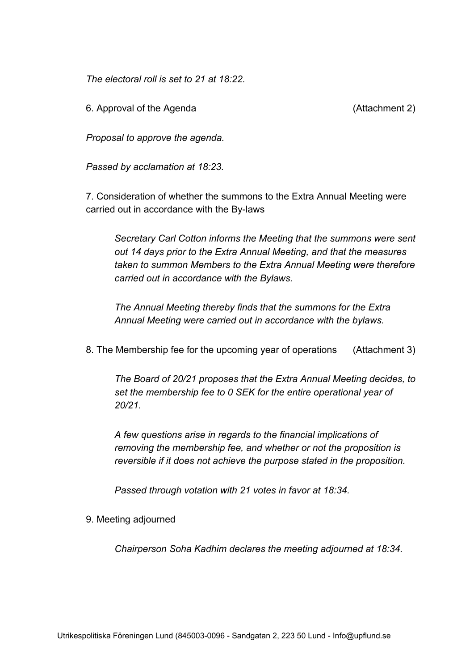*The electoral roll is set to 21 at 18:22.*

6. Approval of the Agenda (Attachment 2)

*Proposal to approve the agenda.*

*Passed by acclamation at 18:23.*

7. Consideration of whether the summons to the Extra Annual Meeting were carried out in accordance with the By-laws

*Secretary Carl Cotton informs the Meeting that the summons were sent out 14 days prior to the Extra Annual Meeting, and that the measures taken to summon Members to the Extra Annual Meeting were therefore carried out in accordance with the Bylaws.*

*The Annual Meeting thereby finds that the summons for the Extra Annual Meeting were carried out in accordance with the bylaws.*

8. The Membership fee for the upcoming year of operations (Attachment 3)

*The Board of 20/21 proposes that the Extra Annual Meeting decides, to set the membership fee to 0 SEK for the entire operational year of 20/21.*

*A few questions arise in regards to the financial implications of removing the membership fee, and whether or not the proposition is reversible if it does not achieve the purpose stated in the proposition.*

*Passed through votation with 21 votes in favor at 18:34.*

9. Meeting adjourned

*Chairperson Soha Kadhim declares the meeting adjourned at 18:34.*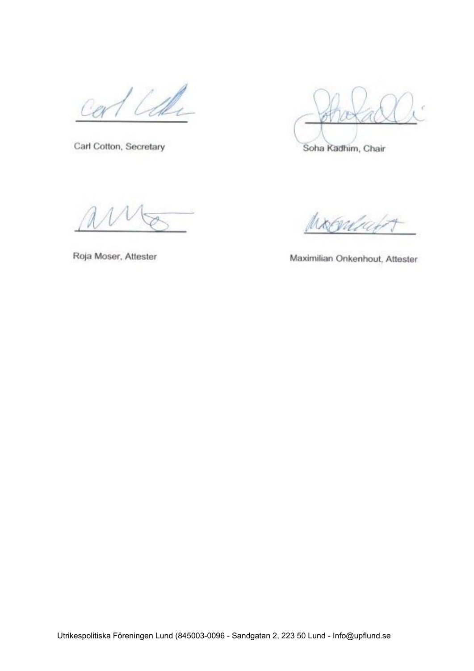Carl Cotton, Secretary

Soha Kadhim, Chair

VU 10

Roja Moser, Attester

Maximilian Onkenhout, Attester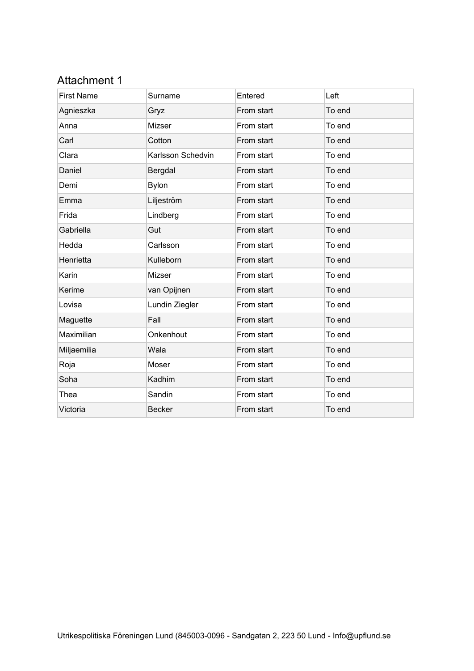# Attachment 1

| <b>First Name</b> | Surname           | Entered    | Left   |
|-------------------|-------------------|------------|--------|
| Agnieszka         | Gryz              | From start | To end |
| Anna              | Mizser            | From start | To end |
| Carl              | Cotton            | From start | To end |
| Clara             | Karlsson Schedvin | From start | To end |
| Daniel            | Bergdal           | From start | To end |
| Demi              | <b>Bylon</b>      | From start | To end |
| Emma              | Liljeström        | From start | To end |
| Frida             | Lindberg          | From start | To end |
| Gabriella         | Gut               | From start | To end |
| Hedda             | Carlsson          | From start | To end |
| Henrietta         | Kulleborn         | From start | To end |
| Karin             | Mizser            | From start | To end |
| Kerime            | van Opijnen       | From start | To end |
| Lovisa            | Lundin Ziegler    | From start | To end |
| Maguette          | Fall              | From start | To end |
| Maximilian        | Onkenhout         | From start | To end |
| Miljaemilia       | Wala              | From start | To end |
| Roja              | Moser             | From start | To end |
| Soha              | Kadhim            | From start | To end |
| Thea              | Sandin            | From start | To end |
| Victoria          | <b>Becker</b>     | From start | To end |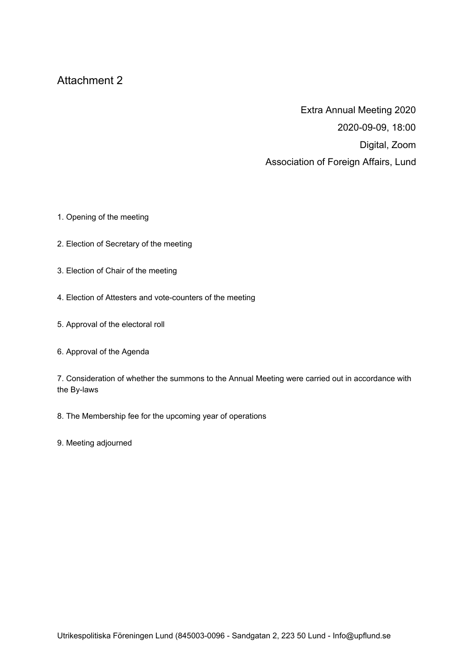## Attachment 2

Extra Annual Meeting 2020 2020-09-09, 18:00 Digital, Zoom Association of Foreign Affairs, Lund

- 1. Opening of the meeting
- 2. Election of Secretary of the meeting
- 3. Election of Chair of the meeting
- 4. Election of Attesters and vote-counters of the meeting
- 5. Approval of the electoral roll
- 6. Approval of the Agenda

7. Consideration of whether the summons to the Annual Meeting were carried out in accordance with the By-laws

- 8. The Membership fee for the upcoming year of operations
- 9. Meeting adjourned